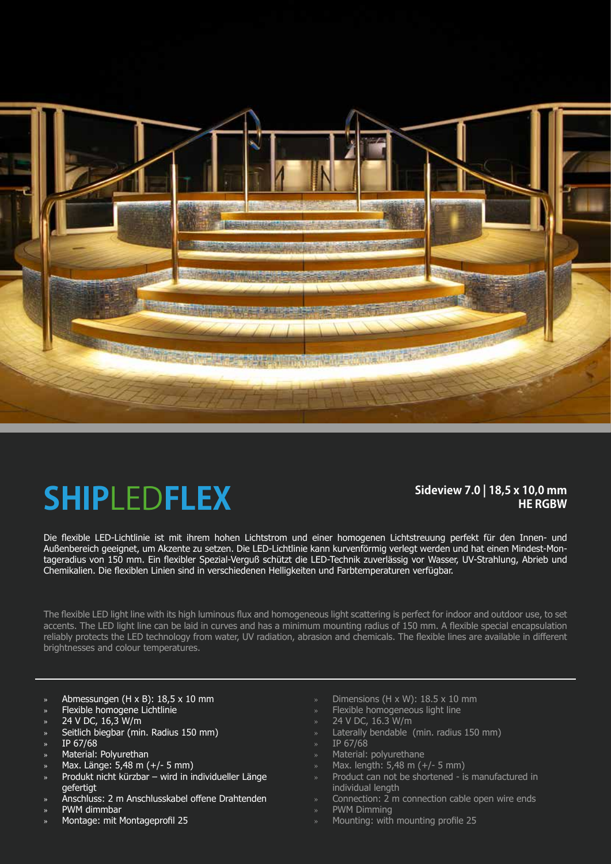

## **SHIP**LED**FLEX**

### **Sideview 7.0 | 18,5 x 10,0 mm HE RGBW**

Die flexible LED-Lichtlinie ist mit ihrem hohen Lichtstrom und einer homogenen Lichtstreuung perfekt für den Innen- und Außenbereich geeignet, um Akzente zu setzen. Die LED-Lichtlinie kann kurvenförmig verlegt werden und hat einen Mindest-Montageradius von 150 mm. Ein flexibler Spezial-Verguß schützt die LED-Technik zuverlässig vor Wasser, UV-Strahlung, Abrieb und Chemikalien. Die flexiblen Linien sind in verschiedenen Helligkeiten und Farbtemperaturen verfügbar.

The flexible LED light line with its high luminous flux and homogeneous light scattering is perfect for indoor and outdoor use, to set accents. The LED light line can be laid in curves and has a minimum mounting radius of 150 mm. A flexible special encapsulation reliably protects the LED technology from water, UV radiation, abrasion and chemicals. The flexible lines are available in different brightnesses and colour temperatures.

- » Abmessungen (H x B): 18,5 x 10 mm
- » Flexible homogene Lichtlinie
- » 24 V DC, 16,3 W/m
- » Seitlich biegbar (min. Radius 150 mm)
- » IP 67/68
- » Material: Polyurethan
- » Max. Länge: 5,48 m (+/- 5 mm)
- » Produkt nicht kürzbar wird in individueller Länge gefertigt
- » Anschluss: 2 m Anschlusskabel offene Drahtenden
- » PWM dimmbar
- » Montage: mit Montageprofil 25
- Dimensions (H  $\times$  W): 18.5  $\times$  10 mm
- » Flexible homogeneous light line
- » 24 V DC, 16.3 W/m
- » Laterally bendable (min. radius 150 mm)
- » IP 67/68
- » Material: polyurethane
- » Max. length: 5,48 m (+/- 5 mm)
- » Product can not be shortened is manufactured in individual length
- » Connection: 2 m connection cable open wire ends
- » PWM Dimming
- » Mounting: with mounting profile 25